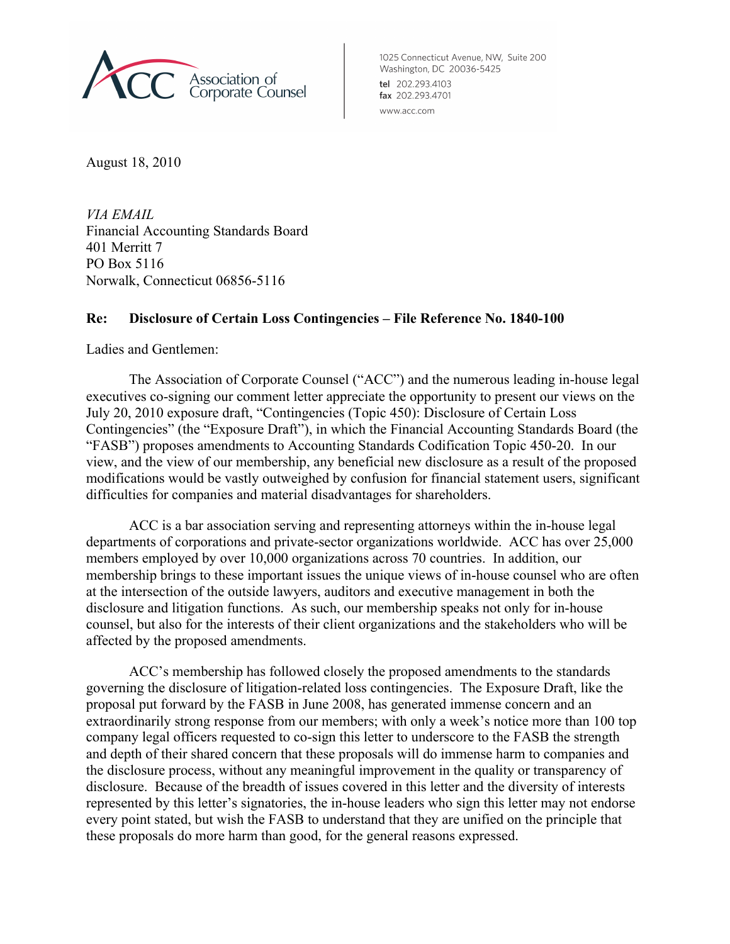

1025 Connecticut Avenue, NW, Suite 200 Washington, DC 20036-5425 tel 202.293.4103 fax 202.293.4701 www.acc.com

August 18, 2010

*VIA EMAIL* Financial Accounting Standards Board 401 Merritt 7 PO Box 5116 Norwalk, Connecticut 06856-5116

# **Re: Disclosure of Certain Loss Contingencies – File Reference No. 1840-100**

Ladies and Gentlemen:

The Association of Corporate Counsel ("ACC") and the numerous leading in-house legal executives co-signing our comment letter appreciate the opportunity to present our views on the July 20, 2010 exposure draft, "Contingencies (Topic 450): Disclosure of Certain Loss Contingencies" (the "Exposure Draft"), in which the Financial Accounting Standards Board (the "FASB") proposes amendments to Accounting Standards Codification Topic 450-20. In our view, and the view of our membership, any beneficial new disclosure as a result of the proposed modifications would be vastly outweighed by confusion for financial statement users, significant difficulties for companies and material disadvantages for shareholders.

ACC is a bar association serving and representing attorneys within the in-house legal departments of corporations and private-sector organizations worldwide. ACC has over 25,000 members employed by over 10,000 organizations across 70 countries. In addition, our membership brings to these important issues the unique views of in-house counsel who are often at the intersection of the outside lawyers, auditors and executive management in both the disclosure and litigation functions. As such, our membership speaks not only for in-house counsel, but also for the interests of their client organizations and the stakeholders who will be affected by the proposed amendments.

ACC's membership has followed closely the proposed amendments to the standards governing the disclosure of litigation-related loss contingencies. The Exposure Draft, like the proposal put forward by the FASB in June 2008, has generated immense concern and an extraordinarily strong response from our members; with only a week's notice more than 100 top company legal officers requested to co-sign this letter to underscore to the FASB the strength and depth of their shared concern that these proposals will do immense harm to companies and the disclosure process, without any meaningful improvement in the quality or transparency of disclosure. Because of the breadth of issues covered in this letter and the diversity of interests represented by this letter's signatories, the in-house leaders who sign this letter may not endorse every point stated, but wish the FASB to understand that they are unified on the principle that these proposals do more harm than good, for the general reasons expressed.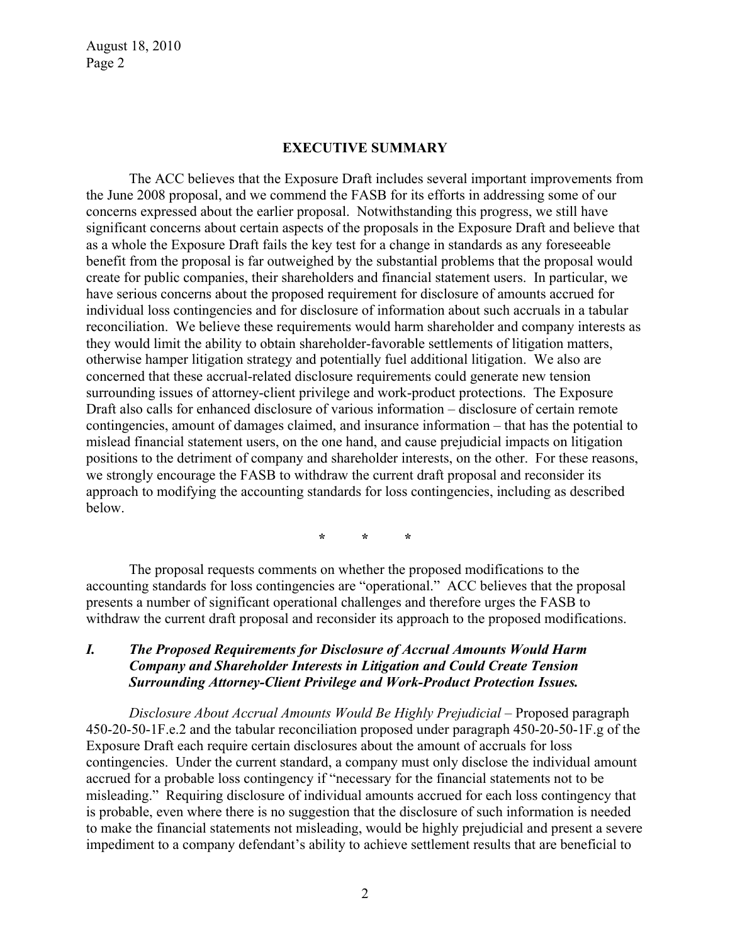#### **EXECUTIVE SUMMARY**

The ACC believes that the Exposure Draft includes several important improvements from the June 2008 proposal, and we commend the FASB for its efforts in addressing some of our concerns expressed about the earlier proposal. Notwithstanding this progress, we still have significant concerns about certain aspects of the proposals in the Exposure Draft and believe that as a whole the Exposure Draft fails the key test for a change in standards as any foreseeable benefit from the proposal is far outweighed by the substantial problems that the proposal would create for public companies, their shareholders and financial statement users. In particular, we have serious concerns about the proposed requirement for disclosure of amounts accrued for individual loss contingencies and for disclosure of information about such accruals in a tabular reconciliation. We believe these requirements would harm shareholder and company interests as they would limit the ability to obtain shareholder-favorable settlements of litigation matters, otherwise hamper litigation strategy and potentially fuel additional litigation. We also are concerned that these accrual-related disclosure requirements could generate new tension surrounding issues of attorney-client privilege and work-product protections. The Exposure Draft also calls for enhanced disclosure of various information – disclosure of certain remote contingencies, amount of damages claimed, and insurance information – that has the potential to mislead financial statement users, on the one hand, and cause prejudicial impacts on litigation positions to the detriment of company and shareholder interests, on the other. For these reasons, we strongly encourage the FASB to withdraw the current draft proposal and reconsider its approach to modifying the accounting standards for loss contingencies, including as described below.

**\* \* \***

The proposal requests comments on whether the proposed modifications to the accounting standards for loss contingencies are "operational." ACC believes that the proposal presents a number of significant operational challenges and therefore urges the FASB to withdraw the current draft proposal and reconsider its approach to the proposed modifications.

## *I. The Proposed Requirements for Disclosure of Accrual Amounts Would Harm Company and Shareholder Interests in Litigation and Could Create Tension Surrounding Attorney-Client Privilege and Work-Product Protection Issues.*

*Disclosure About Accrual Amounts Would Be Highly Prejudicial –* Proposed paragraph 450-20-50-1F.e.2 and the tabular reconciliation proposed under paragraph 450-20-50-1F.g of the Exposure Draft each require certain disclosures about the amount of accruals for loss contingencies. Under the current standard, a company must only disclose the individual amount accrued for a probable loss contingency if "necessary for the financial statements not to be misleading." Requiring disclosure of individual amounts accrued for each loss contingency that is probable, even where there is no suggestion that the disclosure of such information is needed to make the financial statements not misleading, would be highly prejudicial and present a severe impediment to a company defendant's ability to achieve settlement results that are beneficial to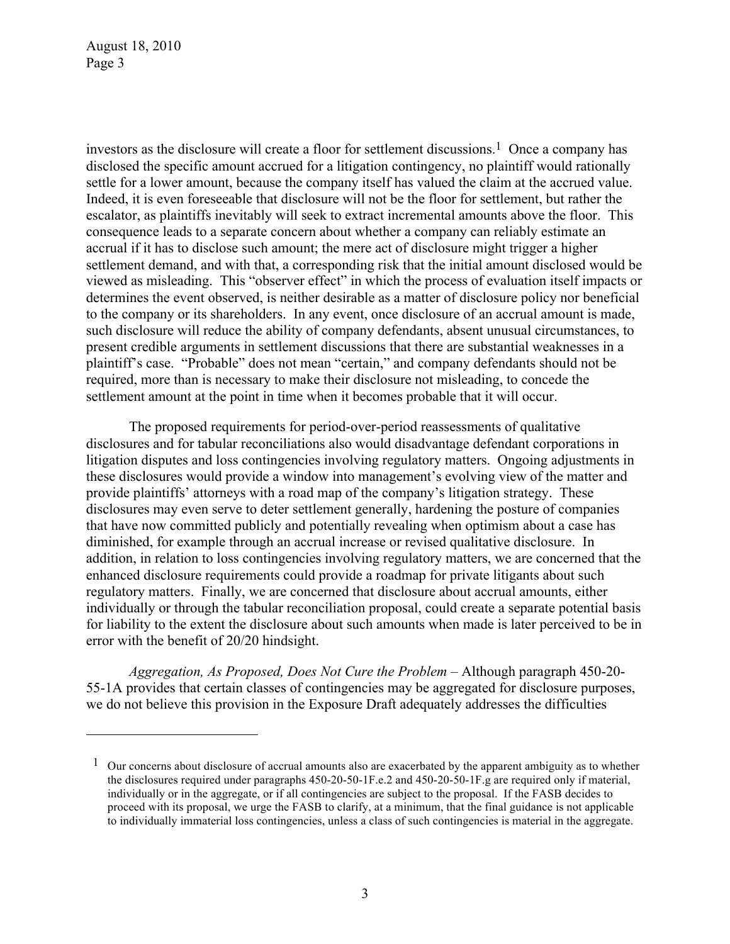<u>.</u>

investors as the disclosure will create a floor for settlement discussions.<sup>1</sup> Once a company has disclosed the specific amount accrued for a litigation contingency, no plaintiff would rationally settle for a lower amount, because the company itself has valued the claim at the accrued value. Indeed, it is even foreseeable that disclosure will not be the floor for settlement, but rather the escalator, as plaintiffs inevitably will seek to extract incremental amounts above the floor. This consequence leads to a separate concern about whether a company can reliably estimate an accrual if it has to disclose such amount; the mere act of disclosure might trigger a higher settlement demand, and with that, a corresponding risk that the initial amount disclosed would be viewed as misleading. This "observer effect" in which the process of evaluation itself impacts or determines the event observed, is neither desirable as a matter of disclosure policy nor beneficial to the company or its shareholders. In any event, once disclosure of an accrual amount is made, such disclosure will reduce the ability of company defendants, absent unusual circumstances, to present credible arguments in settlement discussions that there are substantial weaknesses in a plaintiff's case. "Probable" does not mean "certain," and company defendants should not be required, more than is necessary to make their disclosure not misleading, to concede the settlement amount at the point in time when it becomes probable that it will occur.

The proposed requirements for period-over-period reassessments of qualitative disclosures and for tabular reconciliations also would disadvantage defendant corporations in litigation disputes and loss contingencies involving regulatory matters. Ongoing adjustments in these disclosures would provide a window into management's evolving view of the matter and provide plaintiffs' attorneys with a road map of the company's litigation strategy. These disclosures may even serve to deter settlement generally, hardening the posture of companies that have now committed publicly and potentially revealing when optimism about a case has diminished, for example through an accrual increase or revised qualitative disclosure. In addition, in relation to loss contingencies involving regulatory matters, we are concerned that the enhanced disclosure requirements could provide a roadmap for private litigants about such regulatory matters. Finally, we are concerned that disclosure about accrual amounts, either individually or through the tabular reconciliation proposal, could create a separate potential basis for liability to the extent the disclosure about such amounts when made is later perceived to be in error with the benefit of 20/20 hindsight.

*Aggregation, As Proposed, Does Not Cure the Problem –* Although paragraph 450-20- 55-1A provides that certain classes of contingencies may be aggregated for disclosure purposes, we do not believe this provision in the Exposure Draft adequately addresses the difficulties

 $1$  Our concerns about disclosure of accrual amounts also are exacerbated by the apparent ambiguity as to whether the disclosures required under paragraphs 450-20-50-1F.e.2 and 450-20-50-1F.g are required only if material, individually or in the aggregate, or if all contingencies are subject to the proposal. If the FASB decides to proceed with its proposal, we urge the FASB to clarify, at a minimum, that the final guidance is not applicable to individually immaterial loss contingencies, unless a class of such contingencies is material in the aggregate.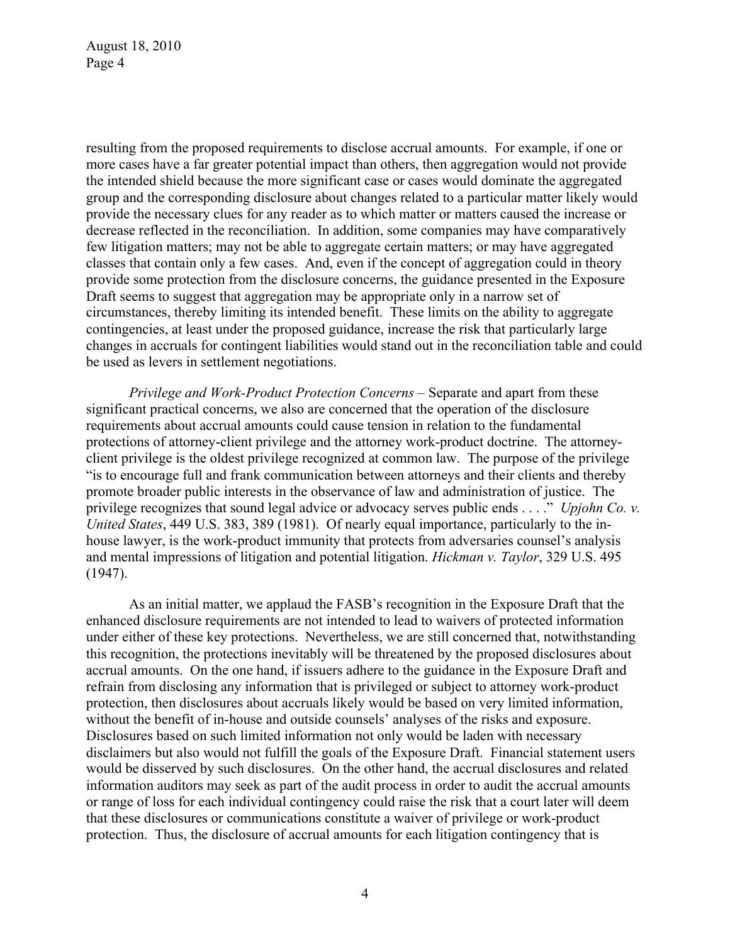resulting from the proposed requirements to disclose accrual amounts. For example, if one or more cases have a far greater potential impact than others, then aggregation would not provide the intended shield because the more significant case or cases would dominate the aggregated group and the corresponding disclosure about changes related to a particular matter likely would provide the necessary clues for any reader as to which matter or matters caused the increase or decrease reflected in the reconciliation. In addition, some companies may have comparatively few litigation matters; may not be able to aggregate certain matters; or may have aggregated classes that contain only a few cases. And, even if the concept of aggregation could in theory provide some protection from the disclosure concerns, the guidance presented in the Exposure Draft seems to suggest that aggregation may be appropriate only in a narrow set of circumstances, thereby limiting its intended benefit. These limits on the ability to aggregate contingencies, at least under the proposed guidance, increase the risk that particularly large changes in accruals for contingent liabilities would stand out in the reconciliation table and could be used as levers in settlement negotiations.

*Privilege and Work-Product Protection Concerns –* Separate and apart from these significant practical concerns, we also are concerned that the operation of the disclosure requirements about accrual amounts could cause tension in relation to the fundamental protections of attorney-client privilege and the attorney work-product doctrine. The attorneyclient privilege is the oldest privilege recognized at common law. The purpose of the privilege "is to encourage full and frank communication between attorneys and their clients and thereby promote broader public interests in the observance of law and administration of justice. The privilege recognizes that sound legal advice or advocacy serves public ends . . . ." *Upjohn Co. v. United States*, 449 U.S. 383, 389 (1981). Of nearly equal importance, particularly to the inhouse lawyer, is the work-product immunity that protects from adversaries counsel's analysis and mental impressions of litigation and potential litigation. *Hickman v. Taylor*, 329 U.S. 495 (1947).

As an initial matter, we applaud the FASB's recognition in the Exposure Draft that the enhanced disclosure requirements are not intended to lead to waivers of protected information under either of these key protections. Nevertheless, we are still concerned that, notwithstanding this recognition, the protections inevitably will be threatened by the proposed disclosures about accrual amounts. On the one hand, if issuers adhere to the guidance in the Exposure Draft and refrain from disclosing any information that is privileged or subject to attorney work-product protection, then disclosures about accruals likely would be based on very limited information, without the benefit of in-house and outside counsels' analyses of the risks and exposure. Disclosures based on such limited information not only would be laden with necessary disclaimers but also would not fulfill the goals of the Exposure Draft. Financial statement users would be disserved by such disclosures. On the other hand, the accrual disclosures and related information auditors may seek as part of the audit process in order to audit the accrual amounts or range of loss for each individual contingency could raise the risk that a court later will deem that these disclosures or communications constitute a waiver of privilege or work-product protection. Thus, the disclosure of accrual amounts for each litigation contingency that is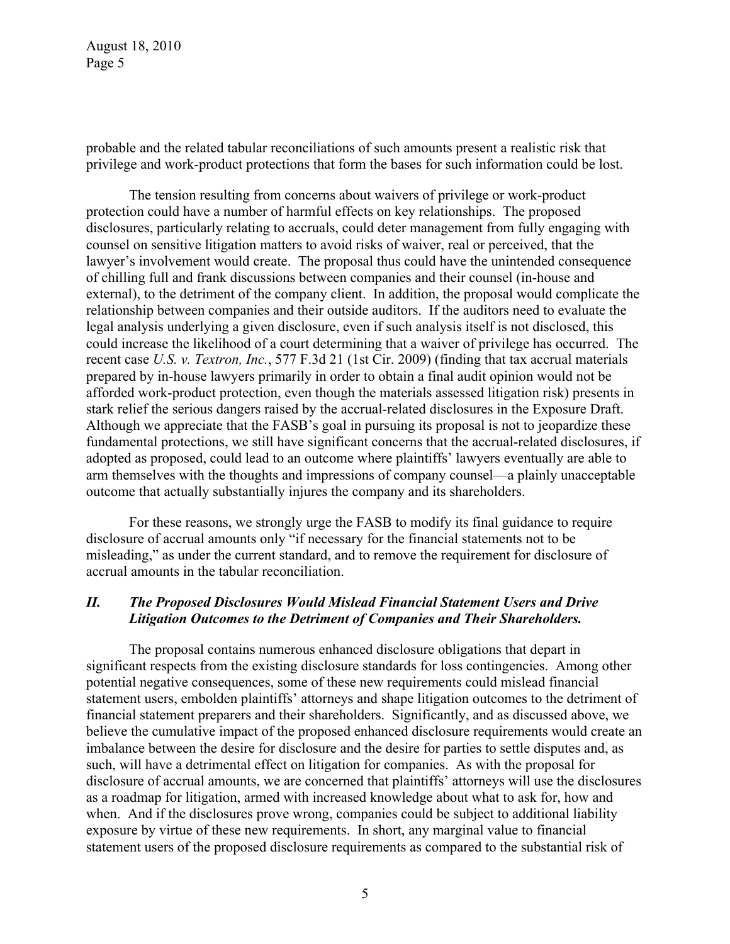probable and the related tabular reconciliations of such amounts present a realistic risk that privilege and work-product protections that form the bases for such information could be lost.

The tension resulting from concerns about waivers of privilege or work-product protection could have a number of harmful effects on key relationships. The proposed disclosures, particularly relating to accruals, could deter management from fully engaging with counsel on sensitive litigation matters to avoid risks of waiver, real or perceived, that the lawyer's involvement would create. The proposal thus could have the unintended consequence of chilling full and frank discussions between companies and their counsel (in-house and external), to the detriment of the company client. In addition, the proposal would complicate the relationship between companies and their outside auditors. If the auditors need to evaluate the legal analysis underlying a given disclosure, even if such analysis itself is not disclosed, this could increase the likelihood of a court determining that a waiver of privilege has occurred. The recent case *U.S. v. Textron, Inc.*, 577 F.3d 21 (1st Cir. 2009) (finding that tax accrual materials prepared by in-house lawyers primarily in order to obtain a final audit opinion would not be afforded work-product protection, even though the materials assessed litigation risk) presents in stark relief the serious dangers raised by the accrual-related disclosures in the Exposure Draft. Although we appreciate that the FASB's goal in pursuing its proposal is not to jeopardize these fundamental protections, we still have significant concerns that the accrual-related disclosures, if adopted as proposed, could lead to an outcome where plaintiffs' lawyers eventually are able to arm themselves with the thoughts and impressions of company counsel—a plainly unacceptable outcome that actually substantially injures the company and its shareholders.

For these reasons, we strongly urge the FASB to modify its final guidance to require disclosure of accrual amounts only "if necessary for the financial statements not to be misleading," as under the current standard, and to remove the requirement for disclosure of accrual amounts in the tabular reconciliation.

## *II. The Proposed Disclosures Would Mislead Financial Statement Users and Drive Litigation Outcomes to the Detriment of Companies and Their Shareholders.*

The proposal contains numerous enhanced disclosure obligations that depart in significant respects from the existing disclosure standards for loss contingencies. Among other potential negative consequences, some of these new requirements could mislead financial statement users, embolden plaintiffs' attorneys and shape litigation outcomes to the detriment of financial statement preparers and their shareholders. Significantly, and as discussed above, we believe the cumulative impact of the proposed enhanced disclosure requirements would create an imbalance between the desire for disclosure and the desire for parties to settle disputes and, as such, will have a detrimental effect on litigation for companies. As with the proposal for disclosure of accrual amounts, we are concerned that plaintiffs' attorneys will use the disclosures as a roadmap for litigation, armed with increased knowledge about what to ask for, how and when. And if the disclosures prove wrong, companies could be subject to additional liability exposure by virtue of these new requirements. In short, any marginal value to financial statement users of the proposed disclosure requirements as compared to the substantial risk of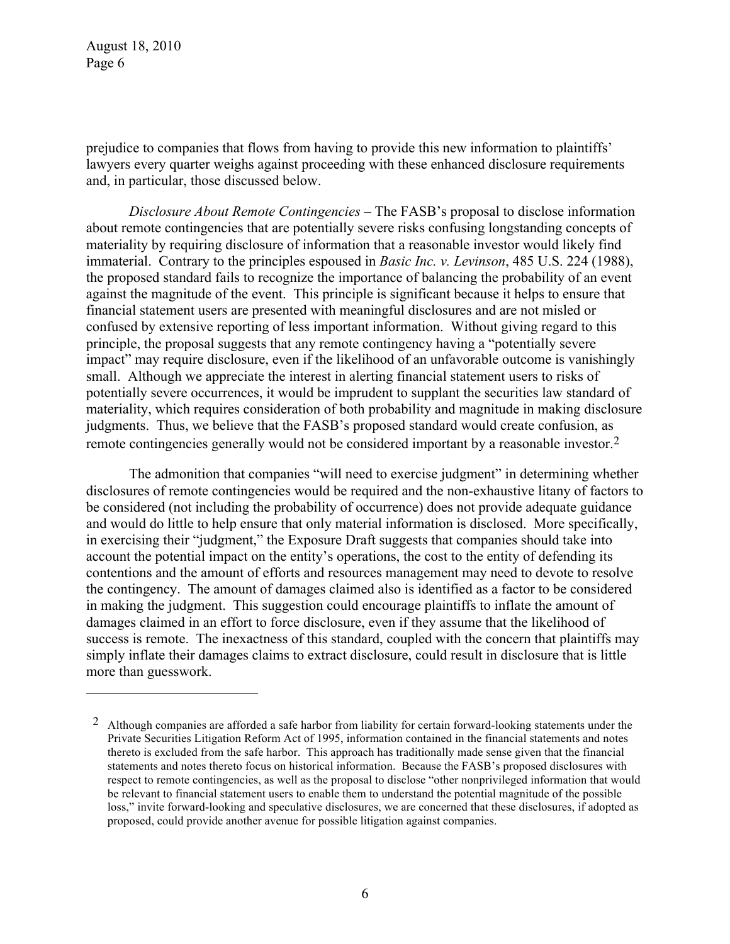<u>.</u>

prejudice to companies that flows from having to provide this new information to plaintiffs' lawyers every quarter weighs against proceeding with these enhanced disclosure requirements and, in particular, those discussed below.

*Disclosure About Remote Contingencies* – The FASB's proposal to disclose information about remote contingencies that are potentially severe risks confusing longstanding concepts of materiality by requiring disclosure of information that a reasonable investor would likely find immaterial. Contrary to the principles espoused in *Basic Inc. v. Levinson*, 485 U.S. 224 (1988), the proposed standard fails to recognize the importance of balancing the probability of an event against the magnitude of the event. This principle is significant because it helps to ensure that financial statement users are presented with meaningful disclosures and are not misled or confused by extensive reporting of less important information. Without giving regard to this principle, the proposal suggests that any remote contingency having a "potentially severe impact" may require disclosure, even if the likelihood of an unfavorable outcome is vanishingly small. Although we appreciate the interest in alerting financial statement users to risks of potentially severe occurrences, it would be imprudent to supplant the securities law standard of materiality, which requires consideration of both probability and magnitude in making disclosure judgments. Thus, we believe that the FASB's proposed standard would create confusion, as remote contingencies generally would not be considered important by a reasonable investor.2

The admonition that companies "will need to exercise judgment" in determining whether disclosures of remote contingencies would be required and the non-exhaustive litany of factors to be considered (not including the probability of occurrence) does not provide adequate guidance and would do little to help ensure that only material information is disclosed. More specifically, in exercising their "judgment," the Exposure Draft suggests that companies should take into account the potential impact on the entity's operations, the cost to the entity of defending its contentions and the amount of efforts and resources management may need to devote to resolve the contingency. The amount of damages claimed also is identified as a factor to be considered in making the judgment. This suggestion could encourage plaintiffs to inflate the amount of damages claimed in an effort to force disclosure, even if they assume that the likelihood of success is remote. The inexactness of this standard, coupled with the concern that plaintiffs may simply inflate their damages claims to extract disclosure, could result in disclosure that is little more than guesswork.

<sup>2</sup> Although companies are afforded a safe harbor from liability for certain forward-looking statements under the Private Securities Litigation Reform Act of 1995, information contained in the financial statements and notes thereto is excluded from the safe harbor. This approach has traditionally made sense given that the financial statements and notes thereto focus on historical information. Because the FASB's proposed disclosures with respect to remote contingencies, as well as the proposal to disclose "other nonprivileged information that would be relevant to financial statement users to enable them to understand the potential magnitude of the possible loss," invite forward-looking and speculative disclosures, we are concerned that these disclosures, if adopted as proposed, could provide another avenue for possible litigation against companies.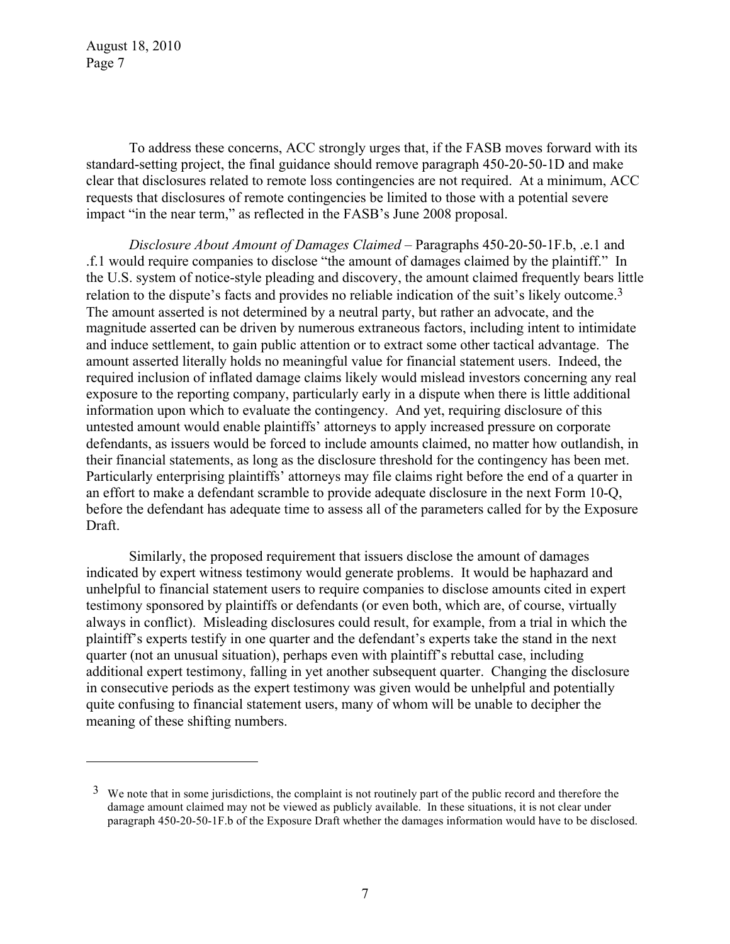1

To address these concerns, ACC strongly urges that, if the FASB moves forward with its standard-setting project, the final guidance should remove paragraph 450-20-50-1D and make clear that disclosures related to remote loss contingencies are not required. At a minimum, ACC requests that disclosures of remote contingencies be limited to those with a potential severe impact "in the near term," as reflected in the FASB's June 2008 proposal.

*Disclosure About Amount of Damages Claimed –* Paragraphs 450-20-50-1F.b, .e.1 and .f.1 would require companies to disclose "the amount of damages claimed by the plaintiff." In the U.S. system of notice-style pleading and discovery, the amount claimed frequently bears little relation to the dispute's facts and provides no reliable indication of the suit's likely outcome.3 The amount asserted is not determined by a neutral party, but rather an advocate, and the magnitude asserted can be driven by numerous extraneous factors, including intent to intimidate and induce settlement, to gain public attention or to extract some other tactical advantage. The amount asserted literally holds no meaningful value for financial statement users. Indeed, the required inclusion of inflated damage claims likely would mislead investors concerning any real exposure to the reporting company, particularly early in a dispute when there is little additional information upon which to evaluate the contingency. And yet, requiring disclosure of this untested amount would enable plaintiffs' attorneys to apply increased pressure on corporate defendants, as issuers would be forced to include amounts claimed, no matter how outlandish, in their financial statements, as long as the disclosure threshold for the contingency has been met. Particularly enterprising plaintiffs' attorneys may file claims right before the end of a quarter in an effort to make a defendant scramble to provide adequate disclosure in the next Form 10-Q, before the defendant has adequate time to assess all of the parameters called for by the Exposure Draft.

Similarly, the proposed requirement that issuers disclose the amount of damages indicated by expert witness testimony would generate problems. It would be haphazard and unhelpful to financial statement users to require companies to disclose amounts cited in expert testimony sponsored by plaintiffs or defendants (or even both, which are, of course, virtually always in conflict). Misleading disclosures could result, for example, from a trial in which the plaintiff's experts testify in one quarter and the defendant's experts take the stand in the next quarter (not an unusual situation), perhaps even with plaintiff's rebuttal case, including additional expert testimony, falling in yet another subsequent quarter. Changing the disclosure in consecutive periods as the expert testimony was given would be unhelpful and potentially quite confusing to financial statement users, many of whom will be unable to decipher the meaning of these shifting numbers.

 $3\;\;\text{We note that in some just directions, the complaint is not routinely part of the public record and therefore the$ damage amount claimed may not be viewed as publicly available. In these situations, it is not clear under paragraph 450-20-50-1F.b of the Exposure Draft whether the damages information would have to be disclosed.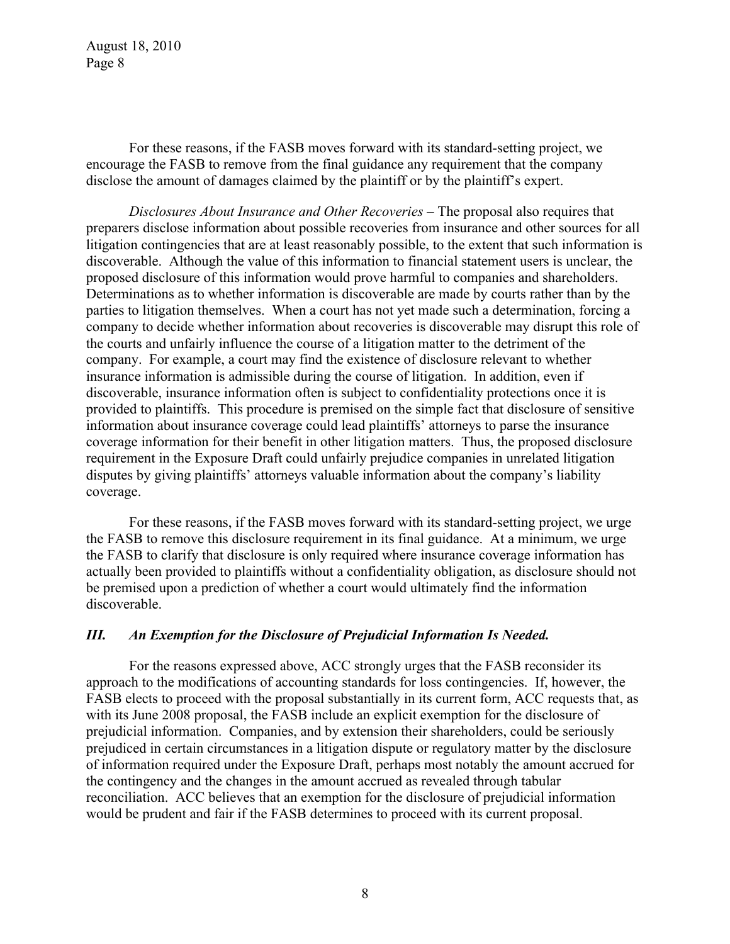For these reasons, if the FASB moves forward with its standard-setting project, we encourage the FASB to remove from the final guidance any requirement that the company disclose the amount of damages claimed by the plaintiff or by the plaintiff's expert.

*Disclosures About Insurance and Other Recoveries –* The proposal also requires that preparers disclose information about possible recoveries from insurance and other sources for all litigation contingencies that are at least reasonably possible, to the extent that such information is discoverable. Although the value of this information to financial statement users is unclear, the proposed disclosure of this information would prove harmful to companies and shareholders. Determinations as to whether information is discoverable are made by courts rather than by the parties to litigation themselves. When a court has not yet made such a determination, forcing a company to decide whether information about recoveries is discoverable may disrupt this role of the courts and unfairly influence the course of a litigation matter to the detriment of the company. For example, a court may find the existence of disclosure relevant to whether insurance information is admissible during the course of litigation. In addition, even if discoverable, insurance information often is subject to confidentiality protections once it is provided to plaintiffs. This procedure is premised on the simple fact that disclosure of sensitive information about insurance coverage could lead plaintiffs' attorneys to parse the insurance coverage information for their benefit in other litigation matters. Thus, the proposed disclosure requirement in the Exposure Draft could unfairly prejudice companies in unrelated litigation disputes by giving plaintiffs' attorneys valuable information about the company's liability coverage.

For these reasons, if the FASB moves forward with its standard-setting project, we urge the FASB to remove this disclosure requirement in its final guidance. At a minimum, we urge the FASB to clarify that disclosure is only required where insurance coverage information has actually been provided to plaintiffs without a confidentiality obligation, as disclosure should not be premised upon a prediction of whether a court would ultimately find the information discoverable.

### *III. An Exemption for the Disclosure of Prejudicial Information Is Needed.*

For the reasons expressed above, ACC strongly urges that the FASB reconsider its approach to the modifications of accounting standards for loss contingencies. If, however, the FASB elects to proceed with the proposal substantially in its current form, ACC requests that, as with its June 2008 proposal, the FASB include an explicit exemption for the disclosure of prejudicial information. Companies, and by extension their shareholders, could be seriously prejudiced in certain circumstances in a litigation dispute or regulatory matter by the disclosure of information required under the Exposure Draft, perhaps most notably the amount accrued for the contingency and the changes in the amount accrued as revealed through tabular reconciliation. ACC believes that an exemption for the disclosure of prejudicial information would be prudent and fair if the FASB determines to proceed with its current proposal.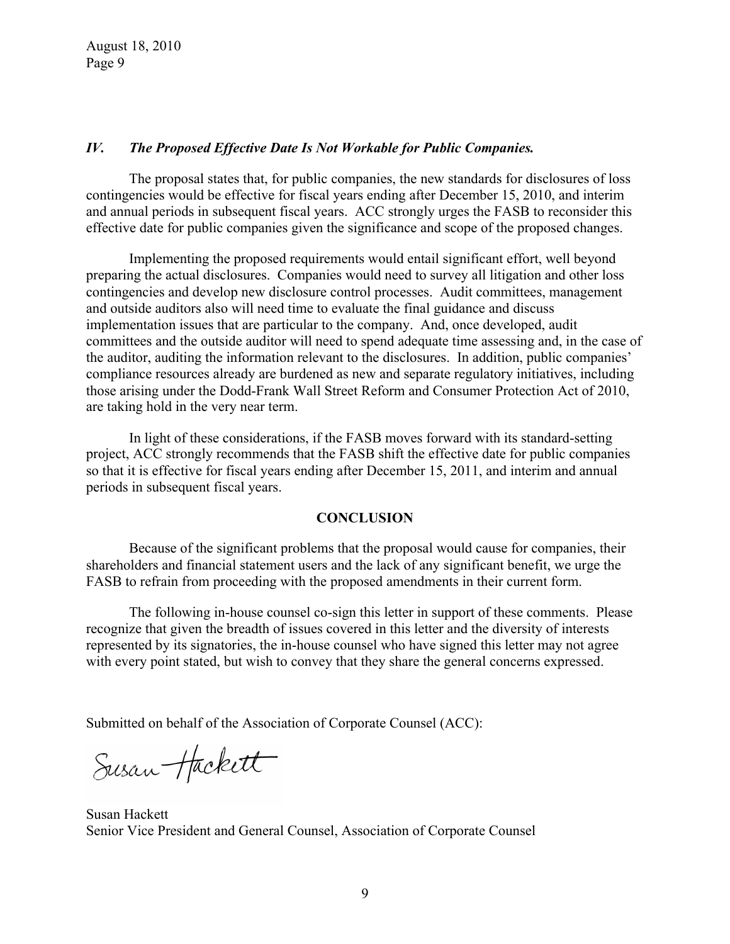### *IV. The Proposed Effective Date Is Not Workable for Public Companies.*

The proposal states that, for public companies, the new standards for disclosures of loss contingencies would be effective for fiscal years ending after December 15, 2010, and interim and annual periods in subsequent fiscal years. ACC strongly urges the FASB to reconsider this effective date for public companies given the significance and scope of the proposed changes.

Implementing the proposed requirements would entail significant effort, well beyond preparing the actual disclosures. Companies would need to survey all litigation and other loss contingencies and develop new disclosure control processes. Audit committees, management and outside auditors also will need time to evaluate the final guidance and discuss implementation issues that are particular to the company. And, once developed, audit committees and the outside auditor will need to spend adequate time assessing and, in the case of the auditor, auditing the information relevant to the disclosures. In addition, public companies' compliance resources already are burdened as new and separate regulatory initiatives, including those arising under the Dodd-Frank Wall Street Reform and Consumer Protection Act of 2010, are taking hold in the very near term.

In light of these considerations, if the FASB moves forward with its standard-setting project, ACC strongly recommends that the FASB shift the effective date for public companies so that it is effective for fiscal years ending after December 15, 2011, and interim and annual periods in subsequent fiscal years.

#### **CONCLUSION**

Because of the significant problems that the proposal would cause for companies, their shareholders and financial statement users and the lack of any significant benefit, we urge the FASB to refrain from proceeding with the proposed amendments in their current form.

The following in-house counsel co-sign this letter in support of these comments. Please recognize that given the breadth of issues covered in this letter and the diversity of interests represented by its signatories, the in-house counsel who have signed this letter may not agree with every point stated, but wish to convey that they share the general concerns expressed.

Submitted on behalf of the Association of Corporate Counsel (ACC):

Susan Hackett

Susan Hackett Senior Vice President and General Counsel, Association of Corporate Counsel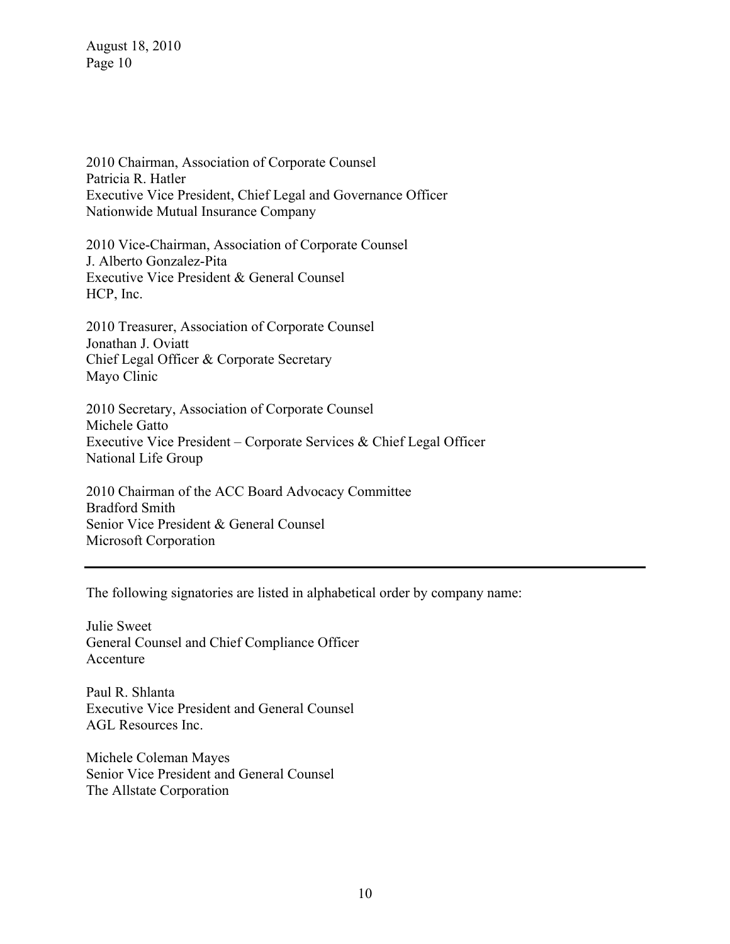2010 Chairman, Association of Corporate Counsel Patricia R. Hatler Executive Vice President, Chief Legal and Governance Officer Nationwide Mutual Insurance Company

2010 Vice-Chairman, Association of Corporate Counsel J. Alberto Gonzalez-Pita Executive Vice President & General Counsel HCP, Inc.

2010 Treasurer, Association of Corporate Counsel Jonathan J. Oviatt Chief Legal Officer & Corporate Secretary Mayo Clinic

2010 Secretary, Association of Corporate Counsel Michele Gatto Executive Vice President – Corporate Services & Chief Legal Officer National Life Group

2010 Chairman of the ACC Board Advocacy Committee Bradford Smith Senior Vice President & General Counsel Microsoft Corporation

The following signatories are listed in alphabetical order by company name:

Julie Sweet General Counsel and Chief Compliance Officer Accenture

Paul R. Shlanta Executive Vice President and General Counsel AGL Resources Inc.

Michele Coleman Mayes Senior Vice President and General Counsel The Allstate Corporation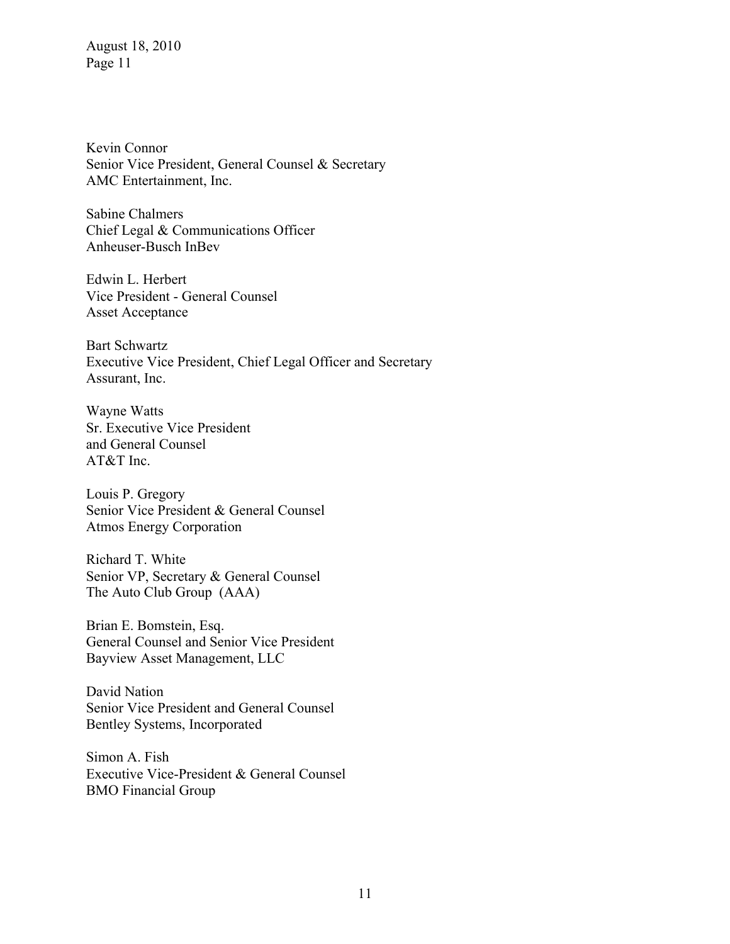Kevin Connor Senior Vice President, General Counsel & Secretary AMC Entertainment, Inc.

Sabine Chalmers Chief Legal & Communications Officer Anheuser-Busch InBev

Edwin L. Herbert Vice President - General Counsel Asset Acceptance

Bart Schwartz Executive Vice President, Chief Legal Officer and Secretary Assurant, Inc.

Wayne Watts Sr. Executive Vice President and General Counsel AT&T Inc.

Louis P. Gregory Senior Vice President & General Counsel Atmos Energy Corporation

Richard T. White Senior VP, Secretary & General Counsel The Auto Club Group (AAA)

Brian E. Bomstein, Esq. General Counsel and Senior Vice President Bayview Asset Management, LLC

David Nation Senior Vice President and General Counsel Bentley Systems, Incorporated

Simon A. Fish Executive Vice-President & General Counsel BMO Financial Group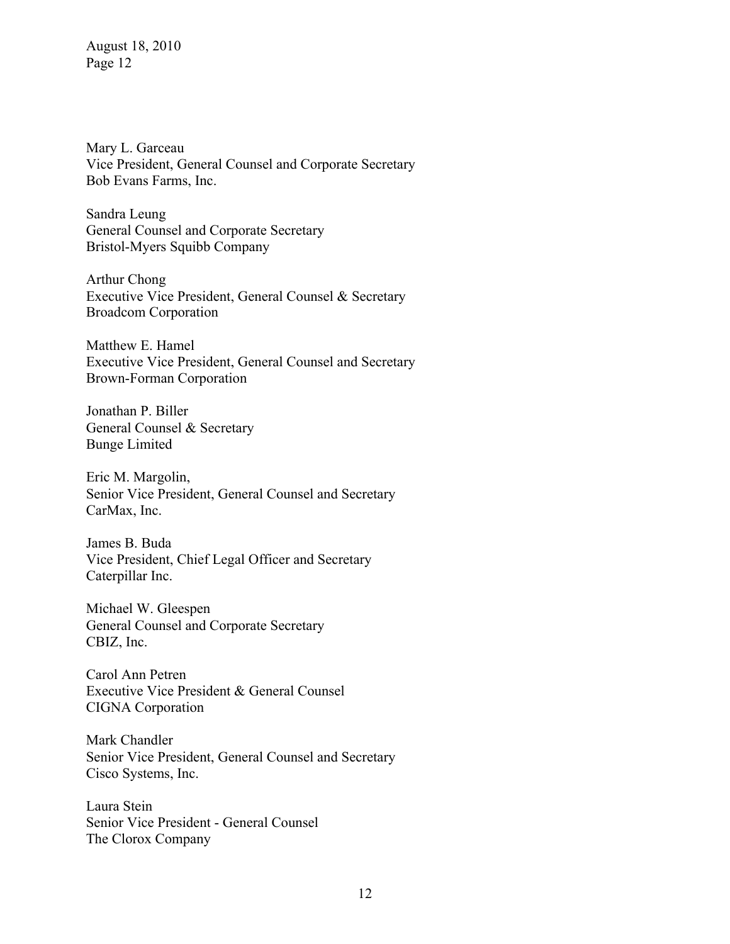Mary L. Garceau Vice President, General Counsel and Corporate Secretary Bob Evans Farms, Inc.

Sandra Leung General Counsel and Corporate Secretary Bristol-Myers Squibb Company

Arthur Chong Executive Vice President, General Counsel & Secretary Broadcom Corporation

Matthew E. Hamel Executive Vice President, General Counsel and Secretary Brown-Forman Corporation

Jonathan P. Biller General Counsel & Secretary Bunge Limited

Eric M. Margolin, Senior Vice President, General Counsel and Secretary CarMax, Inc.

James B. Buda Vice President, Chief Legal Officer and Secretary Caterpillar Inc.

Michael W. Gleespen General Counsel and Corporate Secretary CBIZ, Inc.

Carol Ann Petren Executive Vice President & General Counsel CIGNA Corporation

Mark Chandler Senior Vice President, General Counsel and Secretary Cisco Systems, Inc.

Laura Stein Senior Vice President - General Counsel The Clorox Company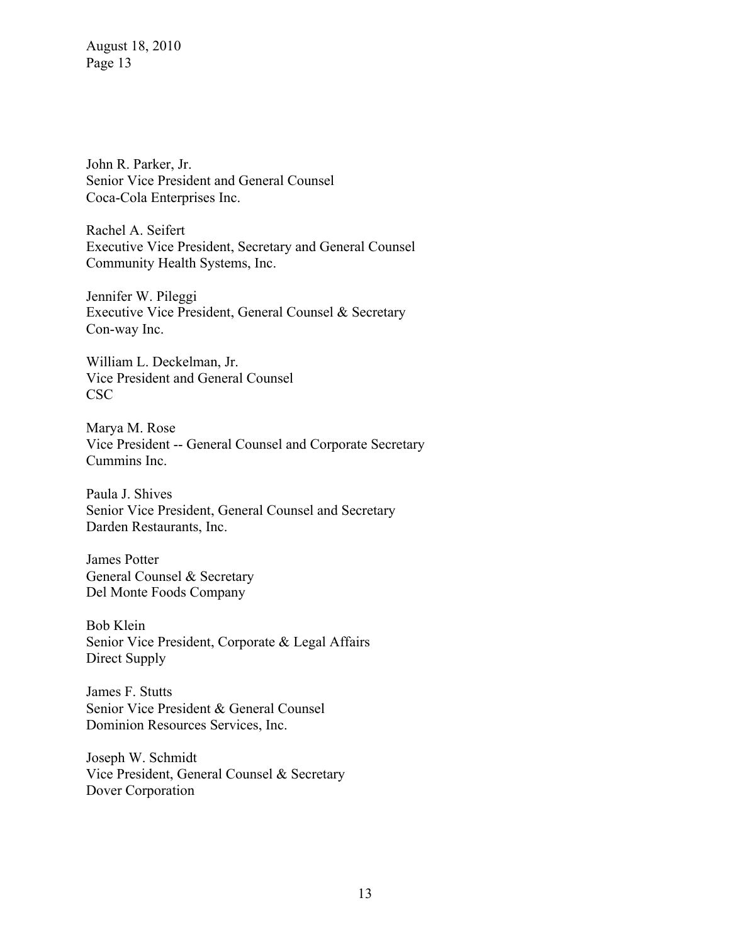John R. Parker, Jr. Senior Vice President and General Counsel Coca-Cola Enterprises Inc.

Rachel A. Seifert Executive Vice President, Secretary and General Counsel Community Health Systems, Inc.

Jennifer W. Pileggi Executive Vice President, General Counsel & Secretary Con-way Inc.

William L. Deckelman, Jr. Vice President and General Counsel CSC

Marya M. Rose Vice President -- General Counsel and Corporate Secretary Cummins Inc.

Paula J. Shives Senior Vice President, General Counsel and Secretary Darden Restaurants, Inc.

James Potter General Counsel & Secretary Del Monte Foods Company

Bob Klein Senior Vice President, Corporate & Legal Affairs Direct Supply

James F. Stutts Senior Vice President & General Counsel Dominion Resources Services, Inc.

Joseph W. Schmidt Vice President, General Counsel & Secretary Dover Corporation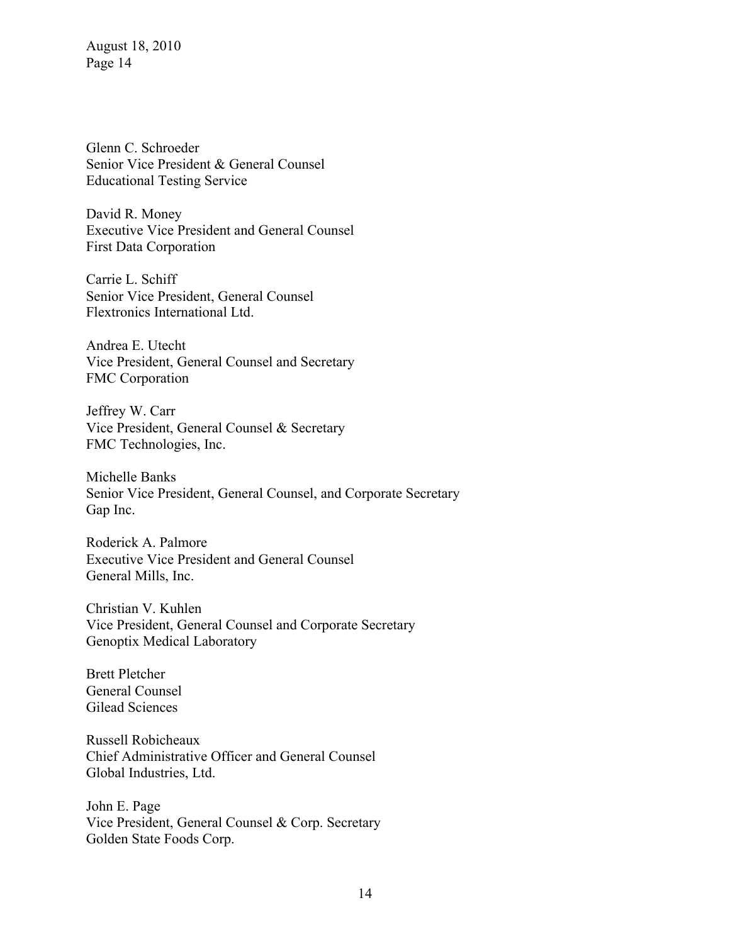Glenn C. Schroeder Senior Vice President & General Counsel Educational Testing Service

David R. Money Executive Vice President and General Counsel First Data Corporation

Carrie L. Schiff Senior Vice President, General Counsel Flextronics International Ltd.

Andrea E. Utecht Vice President, General Counsel and Secretary FMC Corporation

Jeffrey W. Carr Vice President, General Counsel & Secretary FMC Technologies, Inc.

Michelle Banks Senior Vice President, General Counsel, and Corporate Secretary Gap Inc.

Roderick A. Palmore Executive Vice President and General Counsel General Mills, Inc.

Christian V. Kuhlen Vice President, General Counsel and Corporate Secretary Genoptix Medical Laboratory

Brett Pletcher General Counsel Gilead Sciences

Russell Robicheaux Chief Administrative Officer and General Counsel Global Industries, Ltd.

John E. Page Vice President, General Counsel & Corp. Secretary Golden State Foods Corp.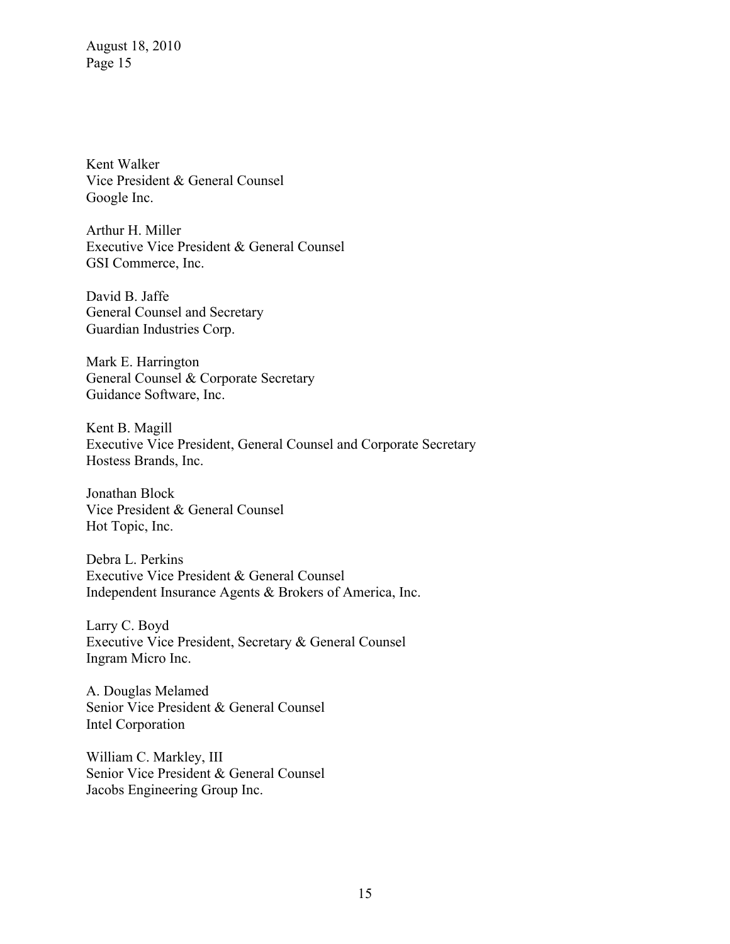Kent Walker Vice President & General Counsel Google Inc.

Arthur H. Miller Executive Vice President & General Counsel GSI Commerce, Inc.

David B. Jaffe General Counsel and Secretary Guardian Industries Corp.

Mark E. Harrington General Counsel & Corporate Secretary Guidance Software, Inc.

Kent B. Magill Executive Vice President, General Counsel and Corporate Secretary Hostess Brands, Inc.

Jonathan Block Vice President & General Counsel Hot Topic, Inc.

Debra L. Perkins Executive Vice President & General Counsel Independent Insurance Agents & Brokers of America, Inc.

Larry C. Boyd Executive Vice President, Secretary & General Counsel Ingram Micro Inc.

A. Douglas Melamed Senior Vice President & General Counsel Intel Corporation

William C. Markley, III Senior Vice President & General Counsel Jacobs Engineering Group Inc.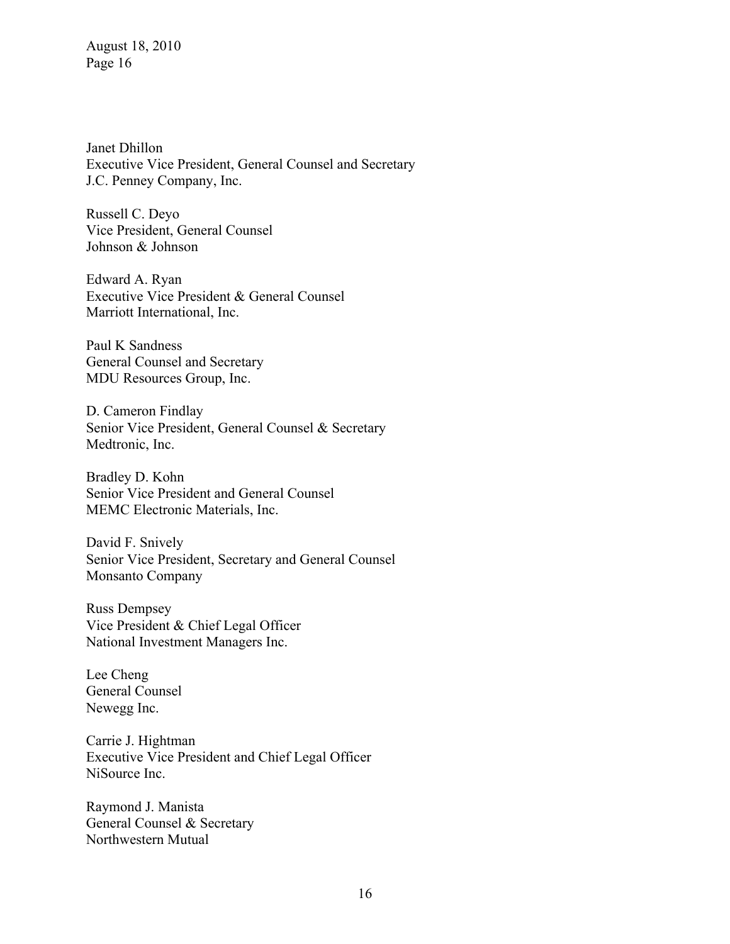Janet Dhillon Executive Vice President, General Counsel and Secretary J.C. Penney Company, Inc.

Russell C. Deyo Vice President, General Counsel Johnson & Johnson

Edward A. Ryan Executive Vice President & General Counsel Marriott International, Inc.

Paul K Sandness General Counsel and Secretary MDU Resources Group, Inc.

D. Cameron Findlay Senior Vice President, General Counsel & Secretary Medtronic, Inc.

Bradley D. Kohn Senior Vice President and General Counsel MEMC Electronic Materials, Inc.

David F. Snively Senior Vice President, Secretary and General Counsel Monsanto Company

Russ Dempsey Vice President & Chief Legal Officer National Investment Managers Inc.

Lee Cheng General Counsel Newegg Inc.

Carrie J. Hightman Executive Vice President and Chief Legal Officer NiSource Inc.

Raymond J. Manista General Counsel & Secretary Northwestern Mutual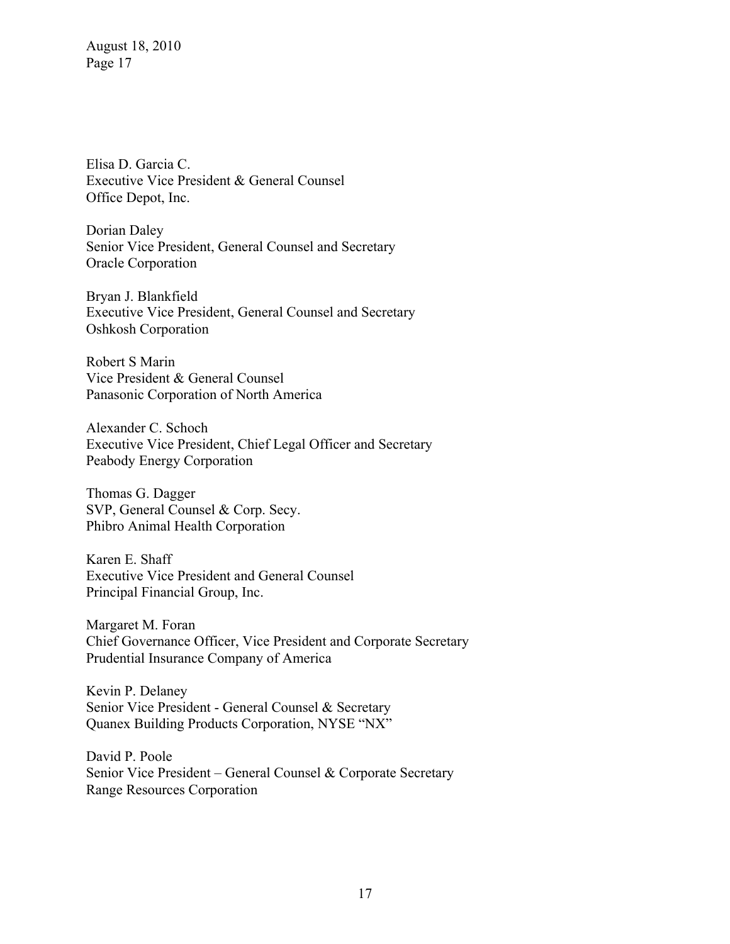Elisa D. Garcia C. Executive Vice President & General Counsel Office Depot, Inc.

Dorian Daley Senior Vice President, General Counsel and Secretary Oracle Corporation

Bryan J. Blankfield Executive Vice President, General Counsel and Secretary Oshkosh Corporation

Robert S Marin Vice President & General Counsel Panasonic Corporation of North America

Alexander C. Schoch Executive Vice President, Chief Legal Officer and Secretary Peabody Energy Corporation

Thomas G. Dagger SVP, General Counsel & Corp. Secy. Phibro Animal Health Corporation

Karen E. Shaff Executive Vice President and General Counsel Principal Financial Group, Inc.

Margaret M. Foran Chief Governance Officer, Vice President and Corporate Secretary Prudential Insurance Company of America

Kevin P. Delaney Senior Vice President - General Counsel & Secretary Quanex Building Products Corporation, NYSE "NX"

David P. Poole Senior Vice President – General Counsel & Corporate Secretary Range Resources Corporation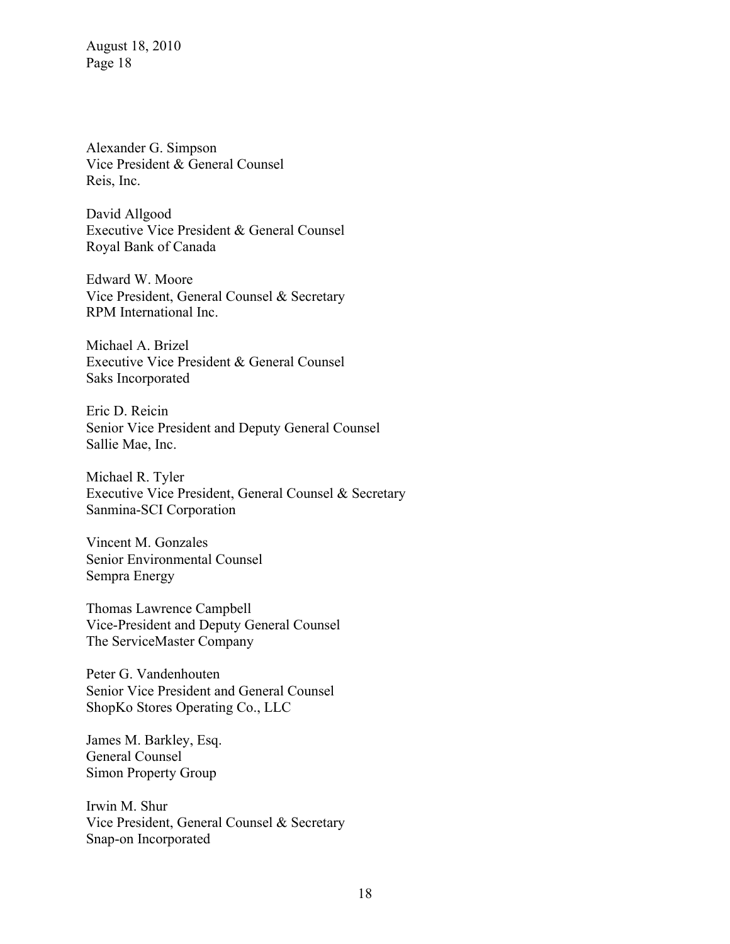Alexander G. Simpson Vice President & General Counsel Reis, Inc.

David Allgood Executive Vice President & General Counsel Royal Bank of Canada

Edward W. Moore Vice President, General Counsel & Secretary RPM International Inc.

Michael A. Brizel Executive Vice President & General Counsel Saks Incorporated

Eric D. Reicin Senior Vice President and Deputy General Counsel Sallie Mae, Inc.

Michael R. Tyler Executive Vice President, General Counsel & Secretary Sanmina-SCI Corporation

Vincent M. Gonzales Senior Environmental Counsel Sempra Energy

Thomas Lawrence Campbell Vice-President and Deputy General Counsel The ServiceMaster Company

Peter G. Vandenhouten Senior Vice President and General Counsel ShopKo Stores Operating Co., LLC

James M. Barkley, Esq. General Counsel Simon Property Group

Irwin M. Shur Vice President, General Counsel & Secretary Snap-on Incorporated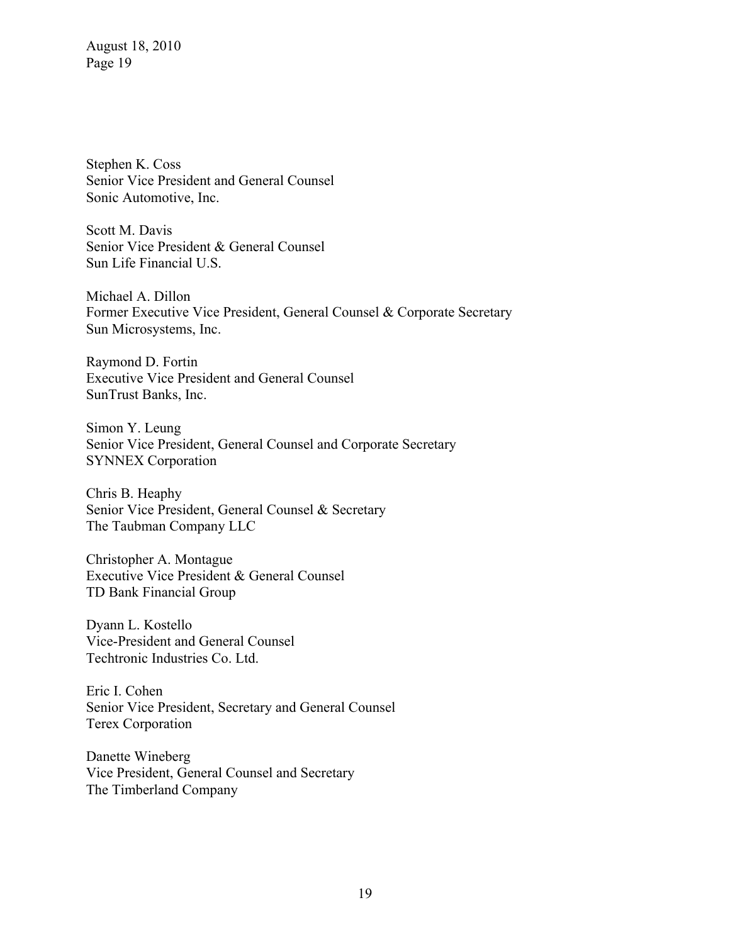Stephen K. Coss Senior Vice President and General Counsel Sonic Automotive, Inc.

Scott M. Davis Senior Vice President & General Counsel Sun Life Financial U.S.

Michael A. Dillon Former Executive Vice President, General Counsel & Corporate Secretary Sun Microsystems, Inc.

Raymond D. Fortin Executive Vice President and General Counsel SunTrust Banks, Inc.

Simon Y. Leung Senior Vice President, General Counsel and Corporate Secretary SYNNEX Corporation

Chris B. Heaphy Senior Vice President, General Counsel & Secretary The Taubman Company LLC

Christopher A. Montague Executive Vice President & General Counsel TD Bank Financial Group

Dyann L. Kostello Vice-President and General Counsel Techtronic Industries Co. Ltd.

Eric I. Cohen Senior Vice President, Secretary and General Counsel Terex Corporation

Danette Wineberg Vice President, General Counsel and Secretary The Timberland Company